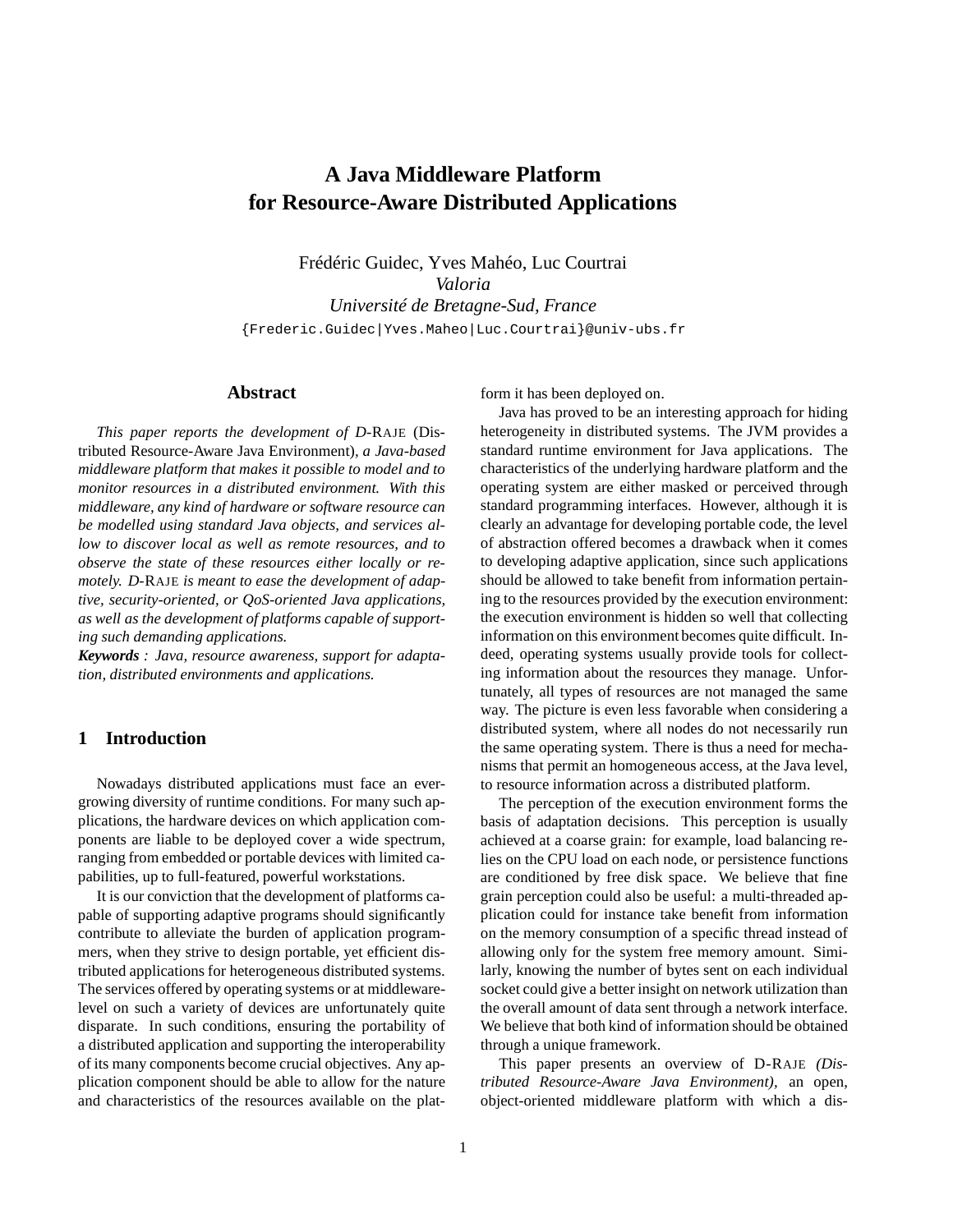# **A Java Middleware Platform for Resource-Aware Distributed Applications**

Frédéric Guidec, Yves Mahéo, Luc Courtrai *Valoria Université de Bretagne-Sud, France* {Frederic.Guidec|Yves.Maheo|Luc.Courtrai}@univ-ubs.fr

# **Abstract**

*This paper reports the development of D-*RAJE (Distributed Resource-Aware Java Environment)*, a Java-based middleware platform that makes it possible to model and to monitor resources in a distributed environment. With this middleware, any kind of hardware or software resource can be modelled using standard Java objects, and services allow to discover local as well as remote resources, and to observe the state of these resources either locally or remotely. D-*RAJE *is meant to ease the development of adaptive, security-oriented, or QoS-oriented Java applications, as well as the development of platforms capable of supporting such demanding applications.*

*Keywords : Java, resource awareness, support for adaptation, distributed environments and applications.*

# **1 Introduction**

Nowadays distributed applications must face an evergrowing diversity of runtime conditions. For many such applications, the hardware devices on which application components are liable to be deployed cover a wide spectrum, ranging from embedded or portable devices with limited capabilities, up to full-featured, powerful workstations.

It is our conviction that the development of platforms capable of supporting adaptive programs should significantly contribute to alleviate the burden of application programmers, when they strive to design portable, yet efficient distributed applications for heterogeneous distributed systems. The services offered by operating systems or at middlewarelevel on such a variety of devices are unfortunately quite disparate. In such conditions, ensuring the portability of a distributed application and supporting the interoperability of its many components become crucial objectives. Any application component should be able to allow for the nature and characteristics of the resources available on the platform it has been deployed on.

Java has proved to be an interesting approach for hiding heterogeneity in distributed systems. The JVM provides a standard runtime environment for Java applications. The characteristics of the underlying hardware platform and the operating system are either masked or perceived through standard programming interfaces. However, although it is clearly an advantage for developing portable code, the level of abstraction offered becomes a drawback when it comes to developing adaptive application, since such applications should be allowed to take benefit from information pertaining to the resources provided by the execution environment: the execution environment is hidden so well that collecting information on this environment becomes quite difficult. Indeed, operating systems usually provide tools for collecting information about the resources they manage. Unfortunately, all types of resources are not managed the same way. The picture is even less favorable when considering a distributed system, where all nodes do not necessarily run the same operating system. There is thus a need for mechanisms that permit an homogeneous access, at the Java level, to resource information across a distributed platform.

The perception of the execution environment forms the basis of adaptation decisions. This perception is usually achieved at a coarse grain: for example, load balancing relies on the CPU load on each node, or persistence functions are conditioned by free disk space. We believe that fine grain perception could also be useful: a multi-threaded application could for instance take benefit from information on the memory consumption of a specific thread instead of allowing only for the system free memory amount. Similarly, knowing the number of bytes sent on each individual socket could give a better insight on network utilization than the overall amount of data sent through a network interface. We believe that both kind of information should be obtained through a unique framework.

This paper presents an overview of D-RAJE *(Distributed Resource-Aware Java Environment),* an open, object-oriented middleware platform with which a dis-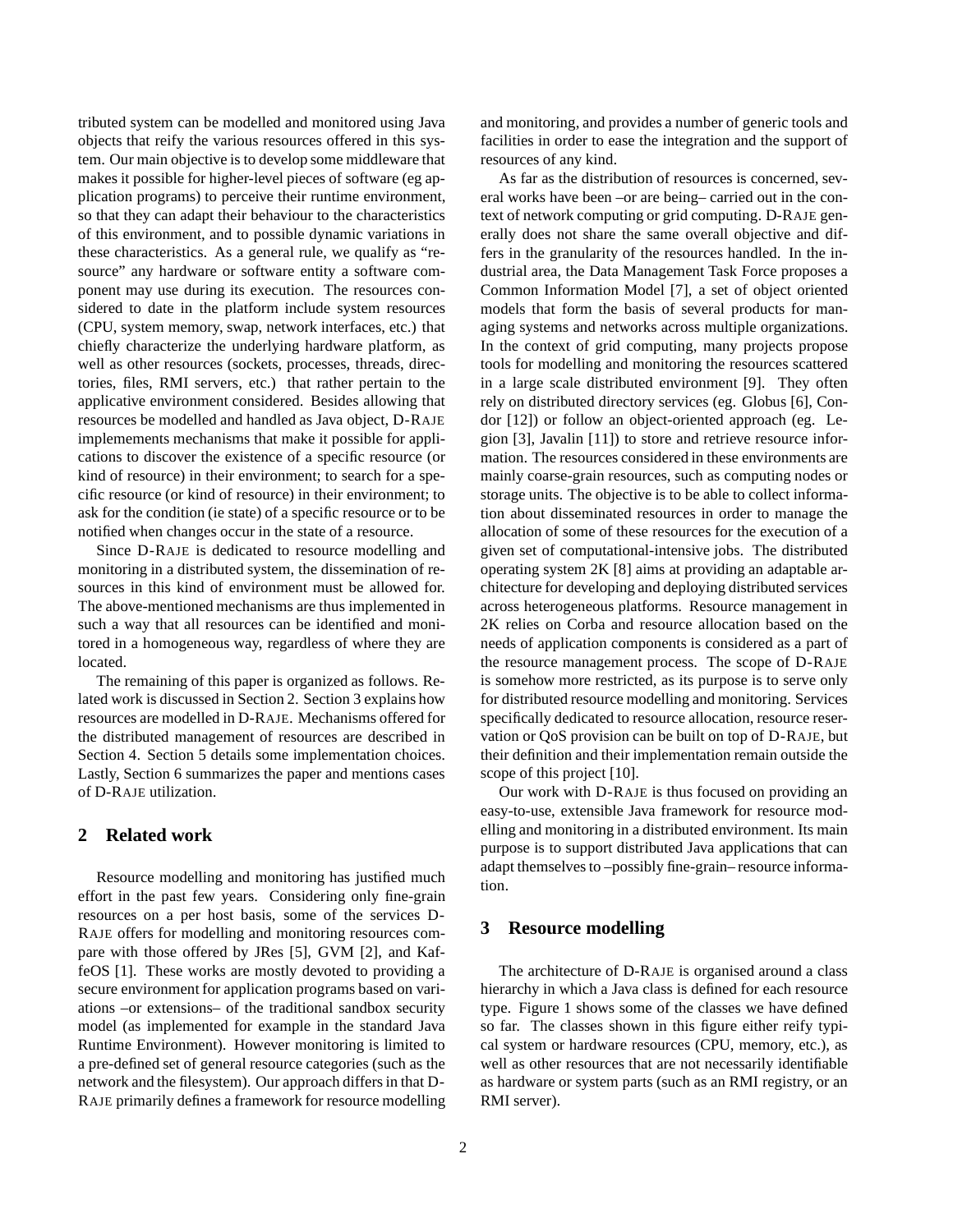tributed system can be modelled and monitored using Java objects that reify the various resources offered in this system. Our main objective is to develop some middleware that makes it possible for higher-level pieces of software (eg application programs) to perceive their runtime environment, so that they can adapt their behaviour to the characteristics of this environment, and to possible dynamic variations in these characteristics. As a general rule, we qualify as "resource" any hardware or software entity a software component may use during its execution. The resources considered to date in the platform include system resources (CPU, system memory, swap, network interfaces, etc.) that chiefly characterize the underlying hardware platform, as well as other resources (sockets, processes, threads, directories, files, RMI servers, etc.) that rather pertain to the applicative environment considered. Besides allowing that resources be modelled and handled as Java object, D-RAJE implemements mechanisms that make it possible for applications to discover the existence of a specific resource (or kind of resource) in their environment; to search for a specific resource (or kind of resource) in their environment; to ask for the condition (ie state) of a specific resource or to be notified when changes occur in the state of a resource.

Since D-RAJE is dedicated to resource modelling and monitoring in a distributed system, the dissemination of resources in this kind of environment must be allowed for. The above-mentioned mechanisms are thus implemented in such a way that all resources can be identified and monitored in a homogeneous way, regardless of where they are located.

The remaining of this paper is organized as follows. Related work is discussed in Section 2. Section 3 explains how resources are modelled in D-RAJE. Mechanisms offered for the distributed management of resources are described in Section 4. Section 5 details some implementation choices. Lastly, Section 6 summarizes the paper and mentions cases of D-RAJE utilization.

## **2 Related work**

Resource modelling and monitoring has justified much effort in the past few years. Considering only fine-grain resources on a per host basis, some of the services D-RAJE offers for modelling and monitoring resources compare with those offered by JRes [5], GVM [2], and KaffeOS [1]. These works are mostly devoted to providing a secure environment for application programs based on variations –or extensions– of the traditional sandbox security model (as implemented for example in the standard Java Runtime Environment). However monitoring is limited to a pre-defined set of general resource categories (such as the network and the filesystem). Our approach differsin that D-RAJE primarily defines a framework for resource modelling and monitoring, and provides a number of generic tools and facilities in order to ease the integration and the support of resources of any kind.

As far as the distribution of resources is concerned, several works have been –or are being– carried out in the context of network computing or grid computing. D-RAJE generally does not share the same overall objective and differs in the granularity of the resources handled. In the industrial area, the Data Management Task Force proposes a Common Information Model [7], a set of object oriented models that form the basis of several products for managing systems and networks across multiple organizations. In the context of grid computing, many projects propose tools for modelling and monitoring the resources scattered in a large scale distributed environment [9]. They often rely on distributed directory services (eg. Globus [6], Condor [12]) or follow an object-oriented approach (eg. Legion [3], Javalin [11]) to store and retrieve resource information. The resources considered in these environments are mainly coarse-grain resources, such as computing nodes or storage units. The objective is to be able to collect information about disseminated resources in order to manage the allocation of some of these resources for the execution of a given set of computational-intensive jobs. The distributed operating system 2K [8] aims at providing an adaptable architecture for developing and deploying distributed services across heterogeneous platforms. Resource management in 2K relies on Corba and resource allocation based on the needs of application components is considered as a part of the resource management process. The scope of D-RAJE is somehow more restricted, as its purpose is to serve only for distributed resource modelling and monitoring. Services specifically dedicated to resource allocation, resource reservation or QoS provision can be built on top of D-RAJE, but their definition and their implementation remain outside the scope of this project [10].

Our work with D-RAJE is thus focused on providing an easy-to-use, extensible Java framework for resource modelling and monitoring in a distributed environment. Its main purpose is to support distributed Java applications that can adapt themselves to –possibly fine-grain– resource information.

## **3 Resource modelling**

The architecture of D-RAJE is organised around a class hierarchy in which a Java class is defined for each resource type. Figure 1 shows some of the classes we have defined so far. The classes shown in this figure either reify typical system or hardware resources (CPU, memory, etc.), as well as other resources that are not necessarily identifiable as hardware or system parts (such as an RMI registry, or an RMI server).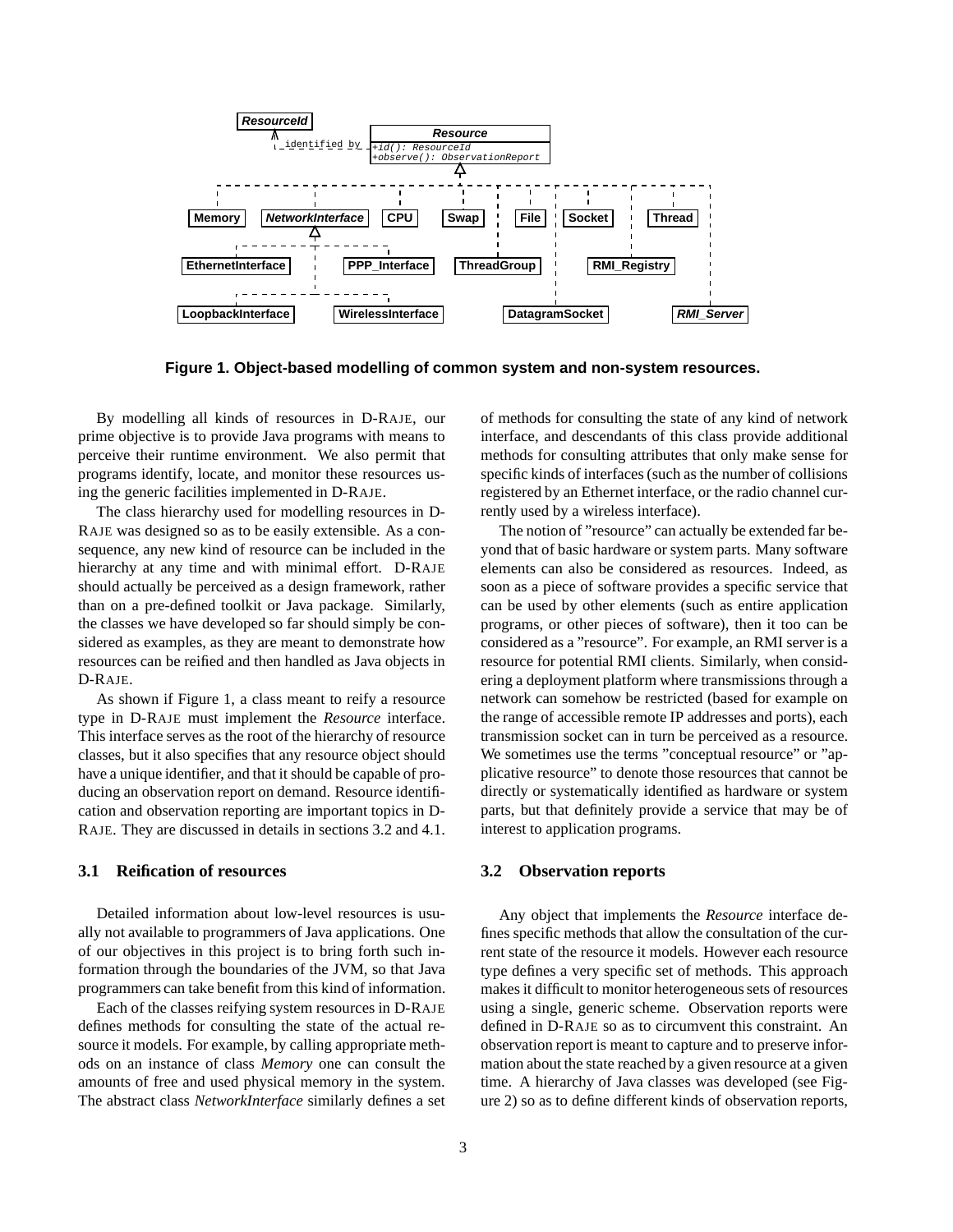

**Figure 1. Object-based modelling of common system and non-system resources.**

By modelling all kinds of resources in D-RAJE, our prime objective is to provide Java programs with means to perceive their runtime environment. We also permit that programs identify, locate, and monitor these resources using the generic facilities implemented in D-RAJE.

The class hierarchy used for modelling resources in D-RAJE was designed so as to be easily extensible. As a consequence, any new kind of resource can be included in the hierarchy at any time and with minimal effort. D-RAJE should actually be perceived as a design framework, rather than on a pre-defined toolkit or Java package. Similarly, the classes we have developed so far should simply be considered as examples, as they are meant to demonstrate how resources can be reified and then handled as Java objects in D-RAJE.

As shown if Figure 1, a class meant to reify a resource type in D-RAJE must implement the *Resource* interface. This interface serves as the root of the hierarchy of resource classes, but it also specifies that any resource object should have a unique identifier, and that it should be capable of producing an observation report on demand. Resource identification and observation reporting are important topics in D-RAJE. They are discussed in details in sections 3.2 and 4.1.

## **3.1 Reification of resources**

Detailed information about low-level resources is usually not available to programmers of Java applications. One of our objectives in this project is to bring forth such information through the boundaries of the JVM, so that Java programmers can take benefit from this kind of information.

Each of the classes reifying system resources in D-RAJE defines methods for consulting the state of the actual resource it models. For example, by calling appropriate methods on an instance of class *Memory* one can consult the amounts of free and used physical memory in the system. The abstract class *NetworkInterface* similarly defines a set of methods for consulting the state of any kind of network interface, and descendants of this class provide additional methods for consulting attributes that only make sense for specific kinds of interfaces (such as the number of collisions registered by an Ethernet interface, or the radio channel currently used by a wireless interface).

The notion of "resource" can actually be extended far beyond that of basic hardware or system parts. Many software elements can also be considered as resources. Indeed, as soon as a piece of software provides a specific service that can be used by other elements (such as entire application programs, or other pieces of software), then it too can be considered as a "resource". For example, an RMI server is a resource for potential RMI clients. Similarly, when considering a deployment platform where transmissions through a network can somehow be restricted (based for example on the range of accessible remote IP addresses and ports), each transmission socket can in turn be perceived as a resource. We sometimes use the terms "conceptual resource" or "applicative resource" to denote those resources that cannot be directly or systematically identified as hardware or system parts, but that definitely provide a service that may be of interest to application programs.

## **3.2 Observation reports**

Any object that implements the *Resource* interface defines specific methods that allow the consultation of the current state of the resource it models. However each resource type defines a very specific set of methods. This approach makes it difficult to monitor heterogeneous sets of resources using a single, generic scheme. Observation reports were defined in D-RAJE so as to circumvent this constraint. An observation report is meant to capture and to preserve information about the state reached by a given resource at a given time. A hierarchy of Java classes was developed (see Figure 2) so as to define different kinds of observation reports,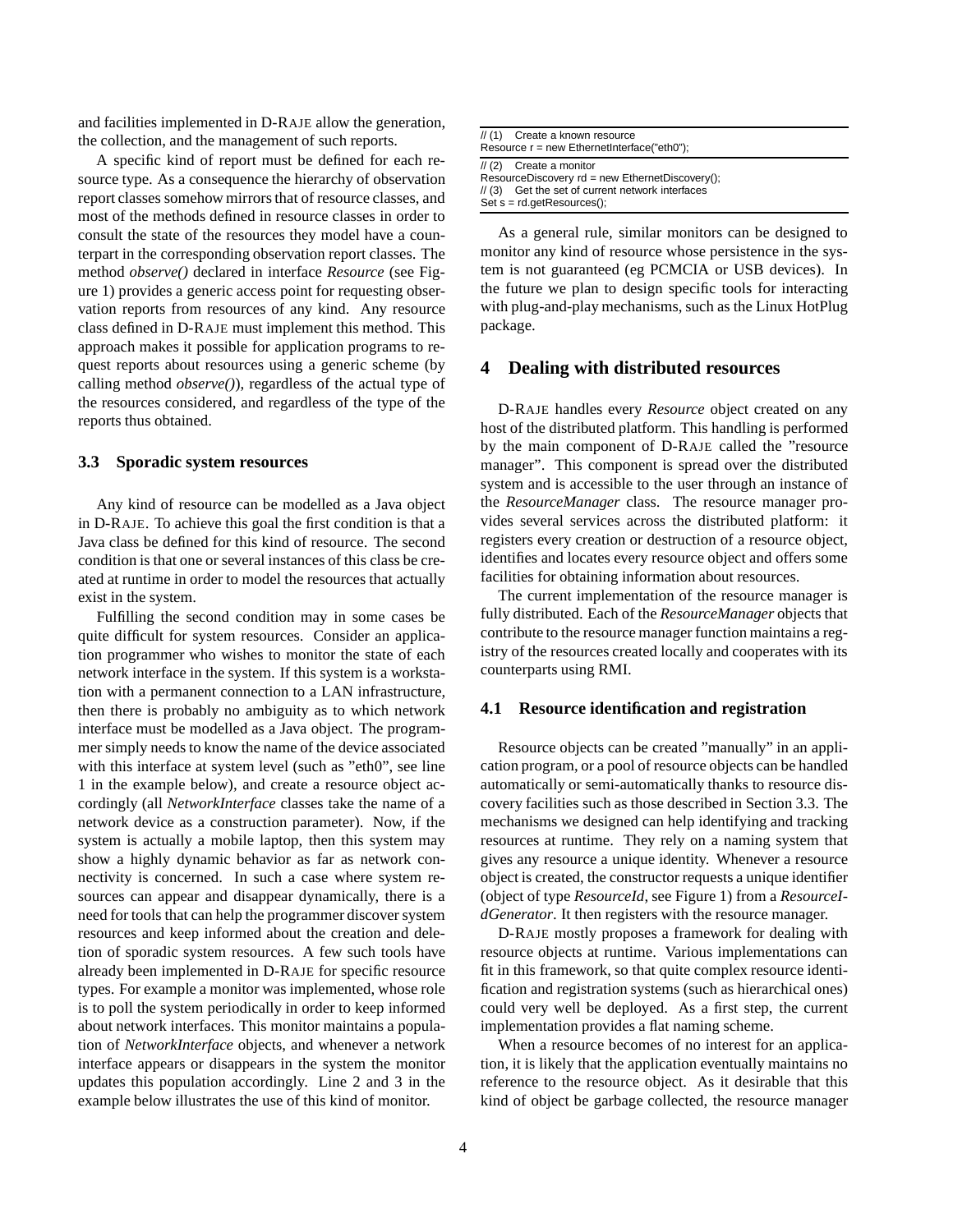and facilities implemented in D-RAJE allow the generation, the collection, and the management of such reports.

A specific kind of report must be defined for each resource type. As a consequence the hierarchy of observation report classes somehow mirrors that of resource classes, and most of the methods defined in resource classes in order to consult the state of the resources they model have a counterpart in the corresponding observation report classes. The method *observe()* declared in interface *Resource* (see Figure 1) provides a generic access point for requesting observation reports from resources of any kind. Any resource class defined in D-RAJE must implement this method. This approach makes it possible for application programs to request reports about resources using a generic scheme (by calling method *observe()*), regardless of the actual type of the resources considered, and regardless of the type of the reports thus obtained.

#### **3.3 Sporadic system resources**

Any kind of resource can be modelled as a Java object in D-RAJE. To achieve this goal the first condition is that a Java class be defined for this kind of resource. The second condition is that one or several instances of this class be created at runtime in order to model the resources that actually exist in the system.

Fulfilling the second condition may in some cases be quite difficult for system resources. Consider an application programmer who wishes to monitor the state of each network interface in the system. If this system is a workstation with a permanent connection to a LAN infrastructure, then there is probably no ambiguity as to which network interface must be modelled as a Java object. The programmer simply needs to know the name of the device associated with this interface at system level (such as "eth0", see line 1 in the example below), and create a resource object accordingly (all *NetworkInterface* classes take the name of a network device as a construction parameter). Now, if the system is actually a mobile laptop, then this system may show a highly dynamic behavior as far as network connectivity is concerned. In such a case where system resources can appear and disappear dynamically, there is a need for tools that can help the programmer discover system resources and keep informed about the creation and deletion of sporadic system resources. A few such tools have already been implemented in D-RAJE for specific resource types. For example a monitor was implemented, whose role is to poll the system periodically in order to keep informed about network interfaces. This monitor maintains a population of *NetworkInterface* objects, and whenever a network interface appears or disappears in the system the monitor updates this population accordingly. Line 2 and 3 in the example below illustrates the use of this kind of monitor.

| $\frac{1}{10}$ Create a known resource<br>Resource $r = new EthernetInterface("eth0")$ ;                                                                           |
|--------------------------------------------------------------------------------------------------------------------------------------------------------------------|
| $// (2)$ Create a monitor<br>$ResourceDiscovery$ rd = new EthernetDiscovery();<br>// (3) Get the set of current network interfaces<br>$Set s = rd.getResource()$ ; |

As a general rule, similar monitors can be designed to monitor any kind of resource whose persistence in the system is not guaranteed (eg PCMCIA or USB devices). In the future we plan to design specific tools for interacting with plug-and-play mechanisms, such as the Linux HotPlug package.

#### **4 Dealing with distributed resources**

D-RAJE handles every *Resource* object created on any host of the distributed platform. This handling is performed by the main component of D-RAJE called the "resource manager". This component is spread over the distributed system and is accessible to the user through an instance of the *ResourceManager* class. The resource manager provides several services across the distributed platform: it registers every creation or destruction of a resource object, identifies and locates every resource object and offers some facilities for obtaining information about resources.

The current implementation of the resource manager is fully distributed. Each of the *ResourceManager* objects that contribute to the resource manager function maintains a registry of the resources created locally and cooperates with its counterparts using RMI.

#### **4.1 Resource identification and registration**

Resource objects can be created "manually" in an application program, or a pool of resource objects can be handled automatically or semi-automatically thanks to resource discovery facilities such as those described in Section 3.3. The mechanisms we designed can help identifying and tracking resources at runtime. They rely on a naming system that gives any resource a unique identity. Whenever a resource object is created, the constructor requests a unique identifier (object of type *ResourceId*, see Figure 1) from a *ResourceIdGenerator*. It then registers with the resource manager.

D-RAJE mostly proposes a framework for dealing with resource objects at runtime. Various implementations can fit in this framework, so that quite complex resource identification and registration systems (such as hierarchical ones) could very well be deployed. As a first step, the current implementation provides a flat naming scheme.

When a resource becomes of no interest for an application, it is likely that the application eventually maintains no reference to the resource object. As it desirable that this kind of object be garbage collected, the resource manager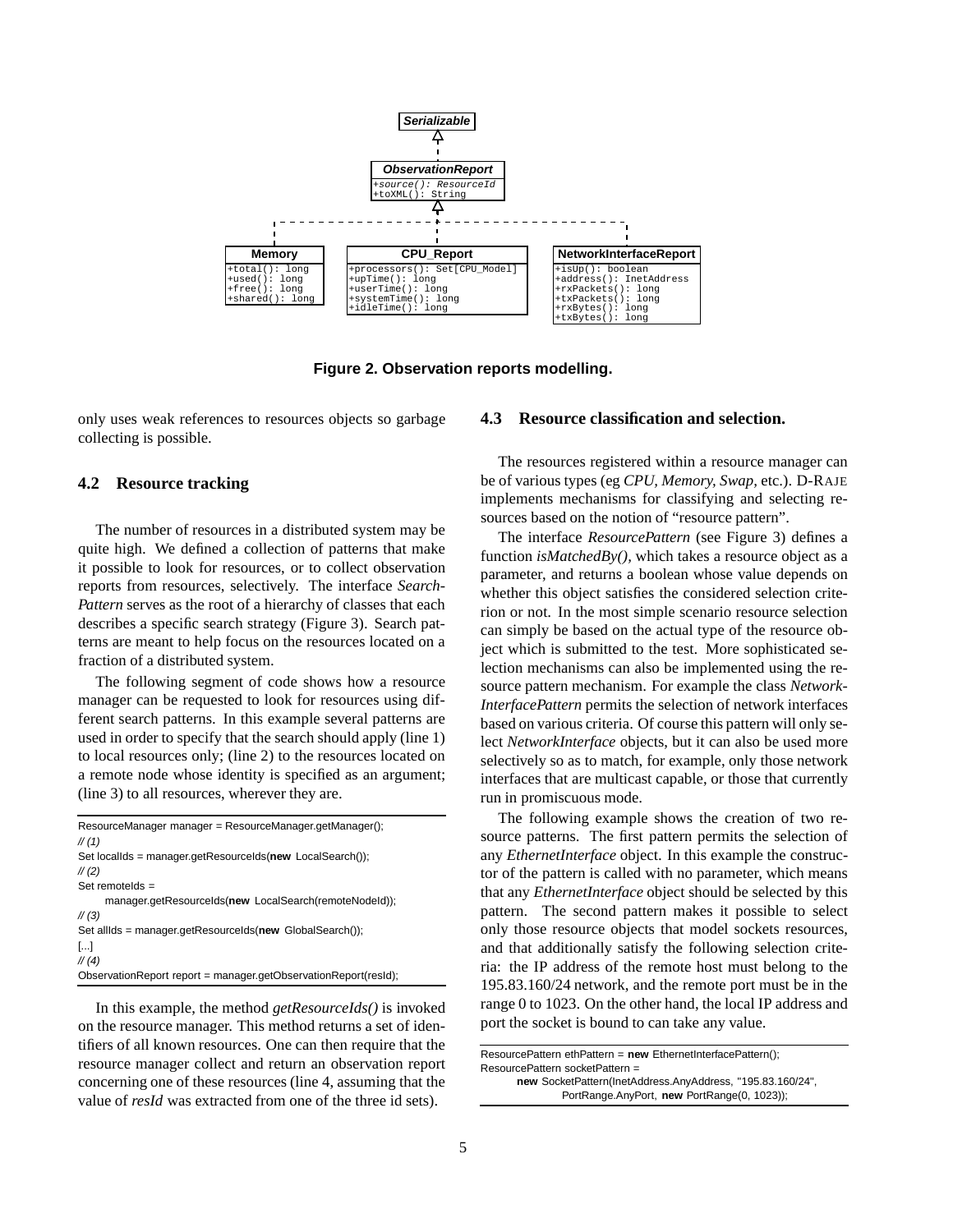

**Figure 2. Observation reports modelling.**

only uses weak references to resources objects so garbage collecting is possible.

#### **4.2 Resource tracking**

The number of resources in a distributed system may be quite high. We defined a collection of patterns that make it possible to look for resources, or to collect observation reports from resources, selectively. The interface *Search-Pattern* serves as the root of a hierarchy of classes that each describes a specific search strategy (Figure 3). Search patterns are meant to help focus on the resources located on a fraction of a distributed system.

The following segment of code shows how a resource manager can be requested to look for resources using different search patterns. In this example several patterns are used in order to specify that the search should apply (line 1) to local resources only; (line 2) to the resources located on a remote node whose identity is specified as an argument; (line 3) to all resources, wherever they are.

In this example, the method *getResourceIds()* is invoked on the resource manager. This method returns a set of identifiers of all known resources. One can then require that the resource manager collect and return an observation report concerning one of these resources (line 4, assuming that the value of *resId* was extracted from one of the three id sets).

#### **4.3 Resource classification and selection.**

The resources registered within a resource manager can be of various types (eg *CPU, Memory, Swap,* etc.). D-RAJE implements mechanisms for classifying and selecting resources based on the notion of "resource pattern".

The interface *ResourcePattern* (see Figure 3) defines a function *isMatchedBy(),* which takes a resource object as a parameter, and returns a boolean whose value depends on whether this object satisfies the considered selection criterion or not. In the most simple scenario resource selection can simply be based on the actual type of the resource object which is submitted to the test. More sophisticated selection mechanisms can also be implemented using the resource pattern mechanism. For example the class *Network-InterfacePattern* permits the selection of network interfaces based on various criteria. Of course this pattern will only select *NetworkInterface* objects, but it can also be used more selectively so as to match, for example, only those network interfaces that are multicast capable, or those that currently run in promiscuous mode.

The following example shows the creation of two resource patterns. The first pattern permits the selection of any *EthernetInterface* object. In this example the constructor of the pattern is called with no parameter, which means that any *EthernetInterface* object should be selected by this pattern. The second pattern makes it possible to select only those resource objects that model sockets resources, and that additionally satisfy the following selection criteria: the IP address of the remote host must belong to the 195.83.160/24 network, and the remote port must be in the range 0 to 1023. On the other hand, the local IP address and port the socket is bound to can take any value.

PortRange.AnyPort, **new** PortRange(0, 1023));

ResourcePattern ethPattern = **new** EthernetInterfacePattern(); ResourcePattern socketPattern = **new** SocketPattern(InetAddress.AnyAddress, "195.83.160/24",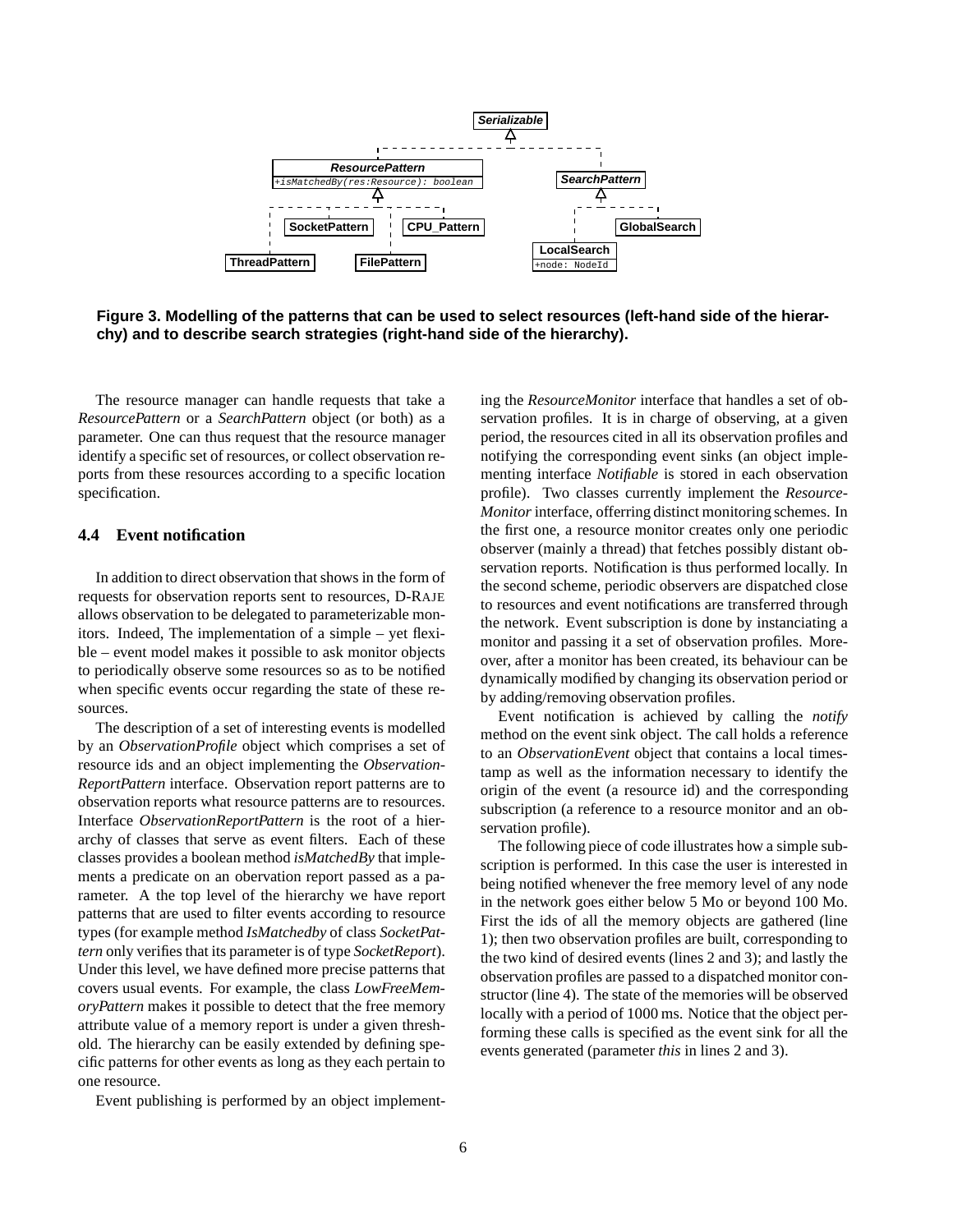

Figure 3. Modelling of the patterns that can be used to select resources (left-hand side of the hierar**chy) and to describe search strategies (right-hand side of the hierarchy).**

The resource manager can handle requests that take a *ResourcePattern* or a *SearchPattern* object (or both) as a parameter. One can thus request that the resource manager identify a specific set of resources, or collect observation reports from these resources according to a specific location specification.

## **4.4 Event notification**

In addition to direct observation that shows in the form of requests for observation reports sent to resources, D-RAJE allows observation to be delegated to parameterizable monitors. Indeed, The implementation of a simple – yet flexible – event model makes it possible to ask monitor objects to periodically observe some resources so as to be notified when specific events occur regarding the state of these resources.

The description of a set of interesting events is modelled by an *ObservationProfile* object which comprises a set of resource ids and an object implementing the *Observation-ReportPattern* interface. Observation report patterns are to observation reports what resource patterns are to resources. Interface *ObservationReportPattern* is the root of a hierarchy of classes that serve as event filters. Each of these classes provides a boolean method *isMatchedBy* that implements a predicate on an obervation report passed as a parameter. A the top level of the hierarchy we have report patterns that are used to filter events according to resource types (for example method *IsMatchedby* of class *SocketPattern* only verifies that its parameter is of type *SocketReport*). Under this level, we have defined more precise patterns that covers usual events. For example, the class *LowFreeMemoryPattern* makes it possible to detect that the free memory attribute value of a memory report is under a given threshold. The hierarchy can be easily extended by defining specific patterns for other events as long as they each pertain to one resource.

Event publishing is performed by an object implement-

ing the *ResourceMonitor* interface that handles a set of observation profiles. It is in charge of observing, at a given period, the resources cited in all its observation profiles and notifying the corresponding event sinks (an object implementing interface *Notifiable* is stored in each observation profile). Two classes currently implement the *Resource-Monitor* interface, offerring distinct monitoring schemes. In the first one, a resource monitor creates only one periodic observer (mainly a thread) that fetches possibly distant observation reports. Notification is thus performed locally. In the second scheme, periodic observers are dispatched close to resources and event notifications are transferred through the network. Event subscription is done by instanciating a monitor and passing it a set of observation profiles. Moreover, after a monitor has been created, its behaviour can be dynamically modified by changing its observation period or by adding/removing observation profiles.

Event notification is achieved by calling the *notify* method on the event sink object. The call holds a reference to an *ObservationEvent* object that contains a local timestamp as well as the information necessary to identify the origin of the event (a resource id) and the corresponding subscription (a reference to a resource monitor and an observation profile).

The following piece of code illustrates how a simple subscription is performed. In this case the user is interested in being notified whenever the free memory level of any node in the network goes either below 5 Mo or beyond 100 Mo. First the ids of all the memory objects are gathered (line 1); then two observation profiles are built, corresponding to the two kind of desired events (lines 2 and 3); and lastly the observation profiles are passed to a dispatched monitor constructor (line 4). The state of the memories will be observed locally with a period of 1000 ms. Notice that the object performing these calls is specified as the event sink for all the events generated (parameter *this* in lines 2 and 3).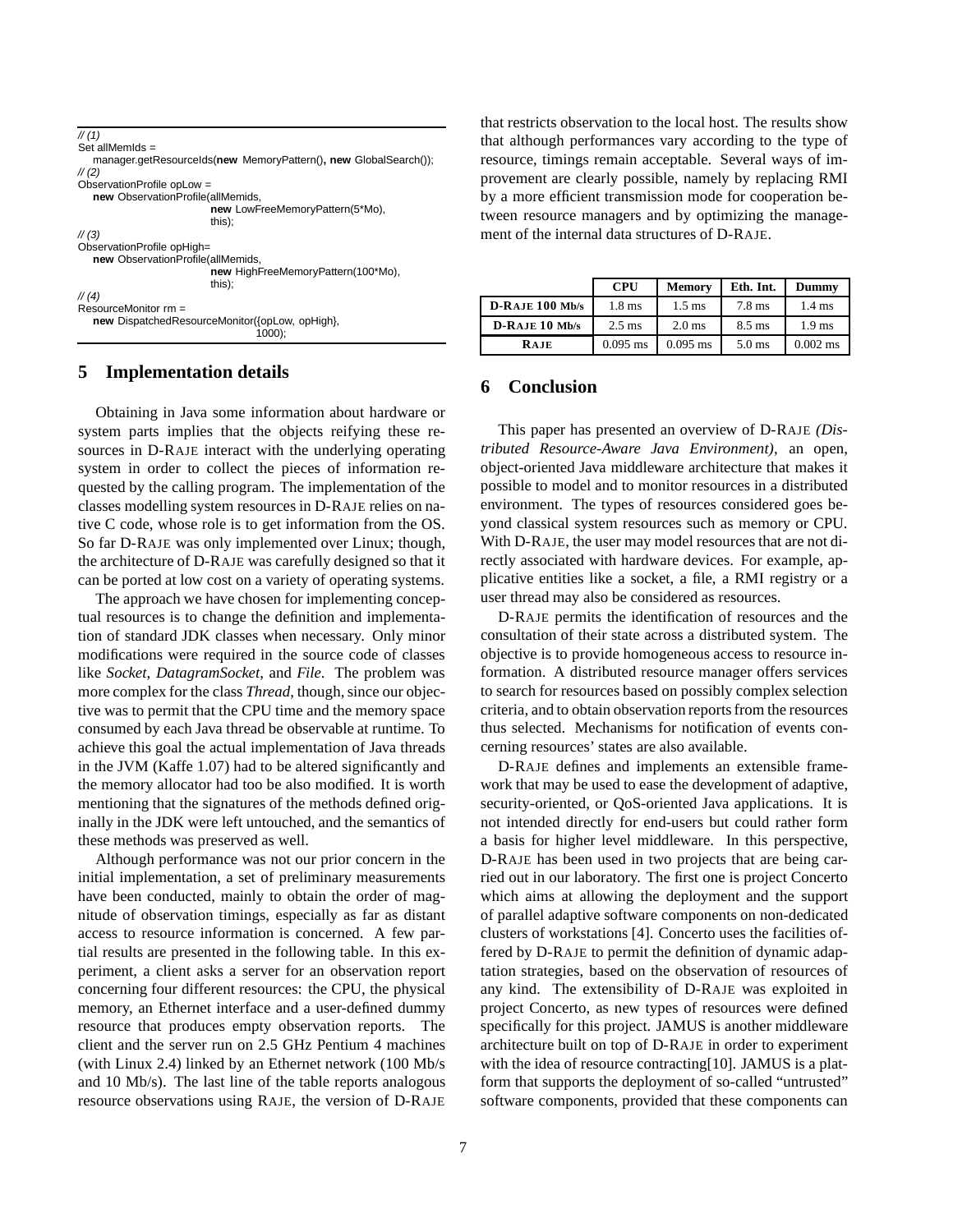| $\frac{1}{1}$ (1)                                                |
|------------------------------------------------------------------|
| Set all Memids $=$                                               |
| manager.getResourceIds(new MemoryPattern(), new GlobalSearch()); |
|                                                                  |
| $\mathcal{U}(2)$                                                 |
| ObservationProfile opLow =                                       |
| new ObservationProfile(allMemids,                                |
| new LowFreeMemoryPattern(5*Mo),                                  |
| this):                                                           |
| $\frac{1}{3}$                                                    |
| ObservationProfile opHigh=                                       |
| new ObservationProfile(allMemids,                                |
| new HighFreeMemoryPattern(100*Mo),                               |
| this);                                                           |
|                                                                  |
| $\frac{1}{4}$                                                    |
| $ResourceMonitor$ $rm =$                                         |
| new DispatchedResourceMonitor({opLow, opHigh},                   |
| 1000):                                                           |
|                                                                  |
|                                                                  |

## **5 Implementation details**

Obtaining in Java some information about hardware or system parts implies that the objects reifying these resources in D-RAJE interact with the underlying operating system in order to collect the pieces of information requested by the calling program. The implementation of the classes modelling system resources in D-RAJE relies on native C code, whose role is to get information from the OS. So far D-RAJE was only implemented over Linux; though, the architecture of D-RAJE was carefully designed so that it can be ported at low cost on a variety of operating systems.

The approach we have chosen for implementing conceptual resources is to change the definition and implementation of standard JDK classes when necessary. Only minor modifications were required in the source code of classes like *Socket*, *DatagramSocket*, and *File*. The problem was more complex for the class *Thread*, though, since our objective was to permit that the CPU time and the memory space consumed by each Java thread be observable at runtime. To achieve this goal the actual implementation of Java threads in the JVM (Kaffe 1.07) had to be altered significantly and the memory allocator had too be also modified. It is worth mentioning that the signatures of the methods defined originally in the JDK were left untouched, and the semantics of these methods was preserved as well.

Although performance was not our prior concern in the initial implementation, a set of preliminary measurements have been conducted, mainly to obtain the order of magnitude of observation timings, especially as far as distant access to resource information is concerned. A few partial results are presented in the following table. In this experiment, a client asks a server for an observation report concerning four different resources: the CPU, the physical memory, an Ethernet interface and a user-defined dummy resource that produces empty observation reports. The client and the server run on 2.5 GHz Pentium 4 machines (with Linux 2.4) linked by an Ethernet network (100 Mb/s and 10 Mb/s). The last line of the table reports analogous resource observations using RAJE, the version of D-RAJE

that restricts observation to the local host. The results show that although performances vary according to the type of resource, timings remain acceptable. Several ways of improvement are clearly possible, namely by replacing RMI by a more efficient transmission mode for cooperation between resource managers and by optimizing the management of the internal data structures of D-RAJE.

|                    | <b>CPU</b>       | <b>Memory</b>    | Eth. Int.        | <b>Dummy</b>     |
|--------------------|------------------|------------------|------------------|------------------|
| $D$ -RAJE 100 Mb/s | $1.8$ ms         | $1.5 \text{ ms}$ | 7.8 ms           | $1.4 \text{ ms}$ |
| $D$ -RAJE 10 Mb/s  | $2.5 \text{ ms}$ | $2.0 \text{ ms}$ | $8.5 \text{ ms}$ | $1.9 \text{ ms}$ |
| RAJE               | $0.095$ ms       | $0.095$ ms       | $5.0$ ms         | $0.002$ ms       |

# **6 Conclusion**

This paper has presented an overview of D-RAJE *(Distributed Resource-Aware Java Environment)*, an open, object-oriented Java middleware architecture that makes it possible to model and to monitor resources in a distributed environment. The types of resources considered goes beyond classical system resources such as memory or CPU. With D-RAJE, the user may model resources that are not directly associated with hardware devices. For example, applicative entities like a socket, a file, a RMI registry or a user thread may also be considered as resources.

D-RAJE permits the identification of resources and the consultation of their state across a distributed system. The objective is to provide homogeneous access to resource information. A distributed resource manager offers services to search for resources based on possibly complex selection criteria, and to obtain observation reports from the resources thus selected. Mechanisms for notification of events concerning resources' states are also available.

D-RAJE defines and implements an extensible framework that may be used to ease the development of adaptive, security-oriented, or QoS-oriented Java applications. It is not intended directly for end-users but could rather form a basis for higher level middleware. In this perspective, D-RAJE has been used in two projects that are being carried out in our laboratory. The first one is project Concerto which aims at allowing the deployment and the support of parallel adaptive software components on non-dedicated clusters of workstations [4]. Concerto uses the facilities offered by D-RAJE to permit the definition of dynamic adaptation strategies, based on the observation of resources of any kind. The extensibility of D-RAJE was exploited in project Concerto, as new types of resources were defined specifically for this project. JAMUS is another middleware architecture built on top of D-RAJE in order to experiment with the idea of resource contracting[10]. JAMUS is a platform that supports the deployment of so-called "untrusted" software components, provided that these components can